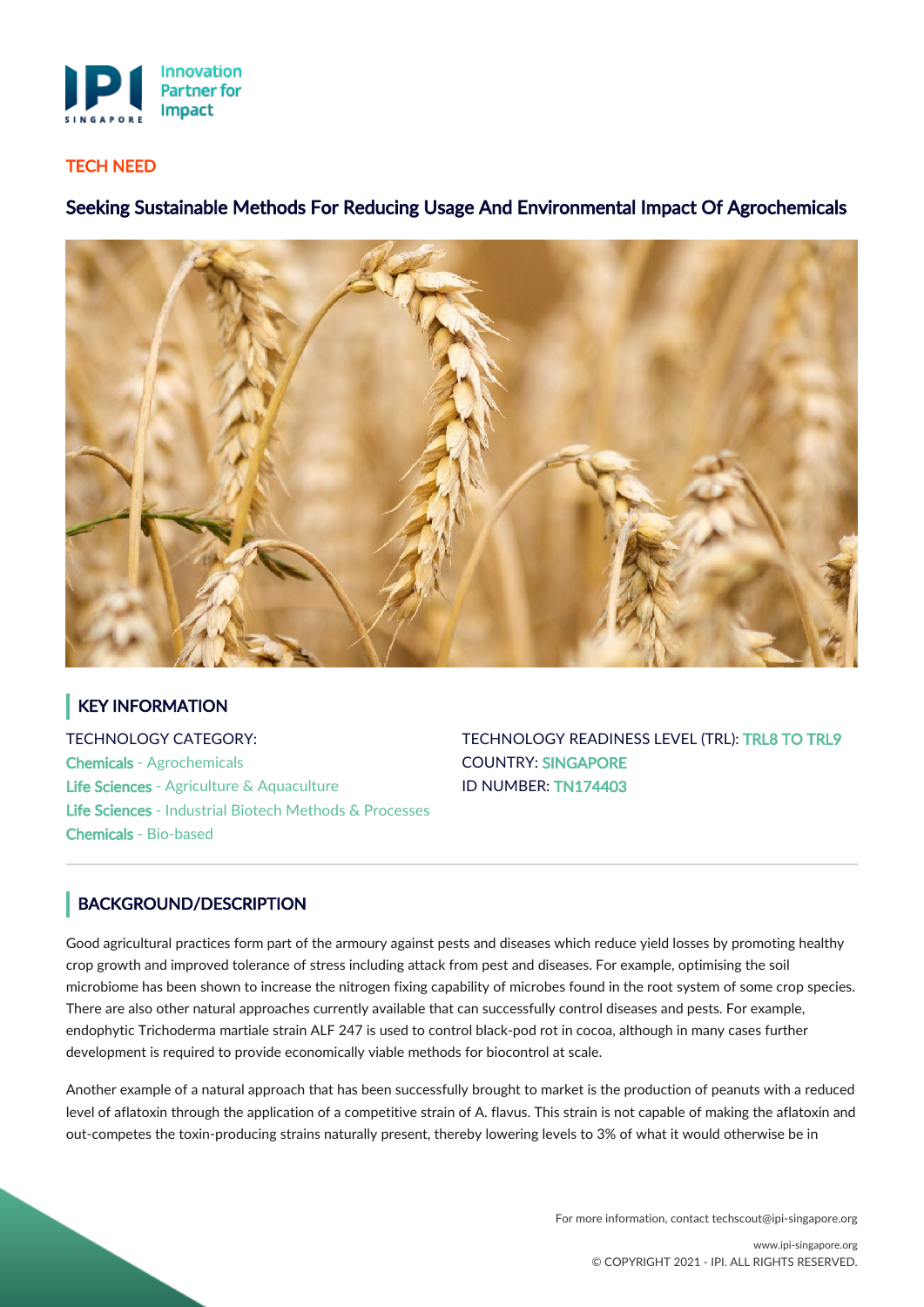

#### TECH NEED

# Seeking Sustainable Methods For Reducing Usage And Environmental Impact Of Agrochemicals



# KEY INFORMATION

TECHNOLOGY CATEGORY: Chemicals - Agrochemicals Life Sciences - Agriculture & Aquaculture Life Sciences - Industrial Biotech Methods & Processes Chemicals - Bio-based

TECHNOLOGY READINESS LEVEL (TRL): TRL8 TO TRL9 COUNTRY: SINGAPORE ID NUMBER: TN174403

## BACKGROUND/DESCRIPTION

Good agricultural practices form part of the armoury against pests and diseases which reduce yield losses by promoting healthy crop growth and improved tolerance of stress including attack from pest and diseases. For example, optimising the soil microbiome has been shown to increase the nitrogen fixing capability of microbes found in the root system of some crop species. There are also other natural approaches currently available that can successfully control diseases and pests. For example, endophytic Trichoderma martiale strain ALF 247 is used to control black-pod rot in cocoa, although in many cases further development is required to provide economically viable methods for biocontrol at scale.

Another example of a natural approach that has been successfully brought to market is the production of peanuts with a reduced level of aflatoxin through the application of a competitive strain of A. flavus. This strain is not capable of making the aflatoxin and out-competes the toxin-producing strains naturally present, thereby lowering levels to 3% of what it would otherwise be in

For more information, contact techscout@ipi-singapore.org